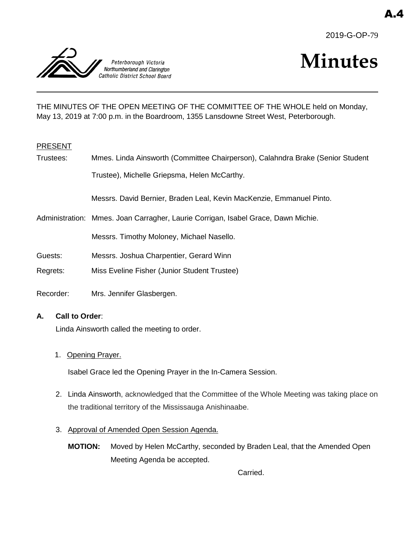



# **Minutes**

THE MINUTES OF THE OPEN MEETING OF THE COMMITTEE OF THE WHOLE held on Monday, May 13, 2019 at 7:00 p.m. in the Boardroom, 1355 Lansdowne Street West, Peterborough.

#### PRESENT

Trustees: Mmes. Linda Ainsworth (Committee Chairperson), Calahndra Brake (Senior Student Trustee), Michelle Griepsma, Helen McCarthy.

Messrs. David Bernier, Braden Leal, Kevin MacKenzie, Emmanuel Pinto.

Administration: Mmes. Joan Carragher, Laurie Corrigan, Isabel Grace, Dawn Michie.

Messrs. Timothy Moloney, Michael Nasello.

- Guests: Messrs. Joshua Charpentier, Gerard Winn
- Regrets: Miss Eveline Fisher (Junior Student Trustee)
- Recorder: Mrs. Jennifer Glasbergen.

#### **A. Call to Order**:

Linda Ainsworth called the meeting to order.

1. Opening Prayer.

Isabel Grace led the Opening Prayer in the In-Camera Session.

- 2. Linda Ainsworth, acknowledged that the Committee of the Whole Meeting was taking place on the traditional territory of the Mississauga Anishinaabe.
- 3. Approval of Amended Open Session Agenda.
	- **MOTION:** Moved by Helen McCarthy, seconded by Braden Leal, that the Amended Open Meeting Agenda be accepted.

Carried.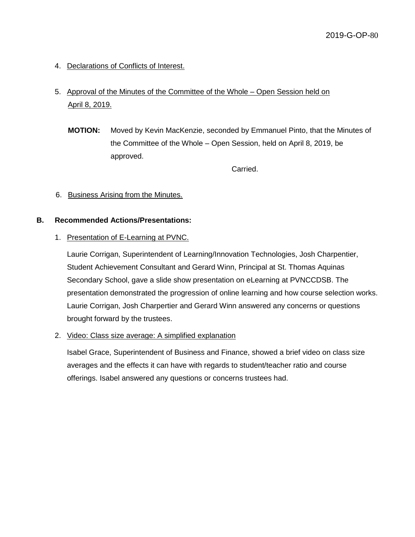4. Declarations of Conflicts of Interest.

## 5. Approval of the Minutes of the Committee of the Whole – Open Session held on April 8, 2019.

**MOTION:** Moved by Kevin MacKenzie, seconded by Emmanuel Pinto, that the Minutes of the Committee of the Whole – Open Session, held on April 8, 2019, be approved.

Carried.

#### 6. Business Arising from the Minutes.

#### **B. Recommended Actions/Presentations:**

#### 1. Presentation of E-Learning at PVNC.

Laurie Corrigan, Superintendent of Learning/Innovation Technologies, Josh Charpentier, Student Achievement Consultant and Gerard Winn, Principal at St. Thomas Aquinas Secondary School, gave a slide show presentation on eLearning at PVNCCDSB. The presentation demonstrated the progression of online learning and how course selection works. Laurie Corrigan, Josh Charpertier and Gerard Winn answered any concerns or questions brought forward by the trustees.

2. Video: Class size average: A simplified explanation

Isabel Grace, Superintendent of Business and Finance, showed a brief video on class size averages and the effects it can have with regards to student/teacher ratio and course offerings. Isabel answered any questions or concerns trustees had.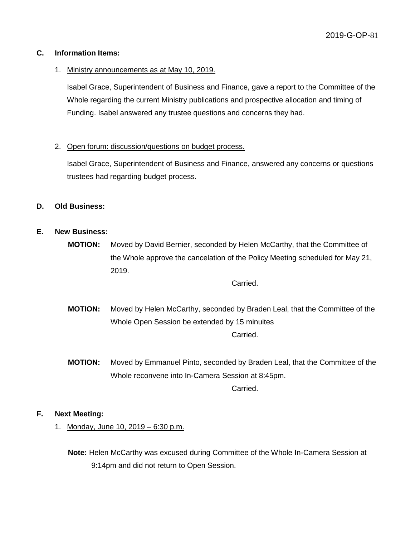#### **C. Information Items:**

#### 1. Ministry announcements as at May 10, 2019.

Isabel Grace, Superintendent of Business and Finance, gave a report to the Committee of the Whole regarding the current Ministry publications and prospective allocation and timing of Funding. Isabel answered any trustee questions and concerns they had.

#### 2. Open forum: discussion/questions on budget process.

Isabel Grace, Superintendent of Business and Finance, answered any concerns or questions trustees had regarding budget process.

#### **D. Old Business:**

#### **E. New Business:**

**MOTION:** Moved by David Bernier, seconded by Helen McCarthy, that the Committee of the Whole approve the cancelation of the Policy Meeting scheduled for May 21, 2019.

Carried.

- **MOTION:** Moved by Helen McCarthy, seconded by Braden Leal, that the Committee of the Whole Open Session be extended by 15 minuites Carried.
- **MOTION:** Moved by Emmanuel Pinto, seconded by Braden Leal, that the Committee of the Whole reconvene into In-Camera Session at 8:45pm. Carried.

#### **F. Next Meeting:**

1. Monday, June 10, 2019 – 6:30 p.m.

**Note:** Helen McCarthy was excused during Committee of the Whole In-Camera Session at 9:14pm and did not return to Open Session.